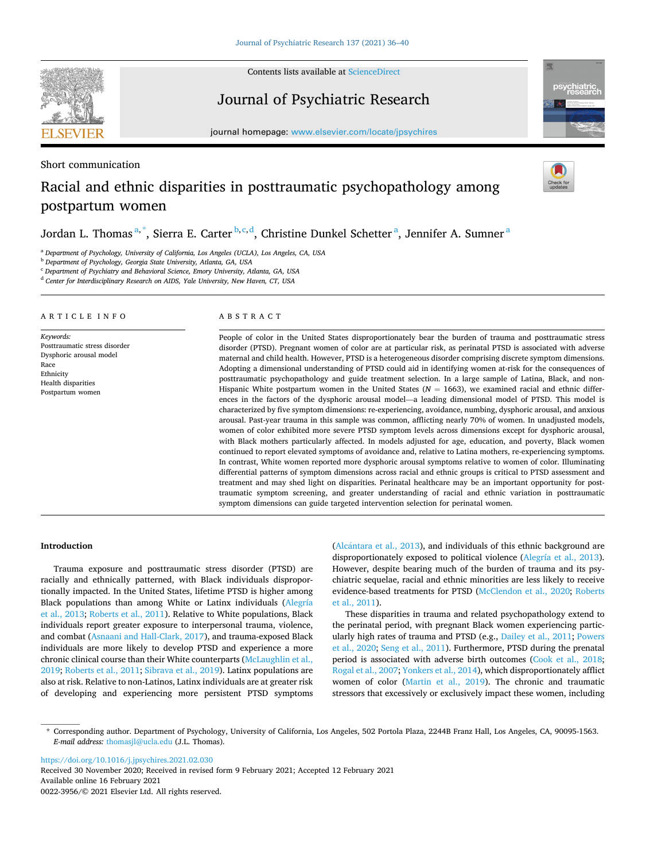

Short communication

Contents lists available at [ScienceDirect](www.sciencedirect.com/science/journal/00223956)

Journal of Psychiatric Research



journal homepage: [www.elsevier.com/locate/jpsychires](https://www.elsevier.com/locate/jpsychires)

# Racial and ethnic disparities in posttraumatic psychopathology among postpartum women

Jordan L. Thomas  $a^*$ , Sierra E. Carter  $b,c,d$ , Christine Dunkel Schetter  $a$ , Jennifer A. Sumner  $a$ 

<sup>a</sup> *Department of Psychology, University of California, Los Angeles (UCLA), Los Angeles, CA, USA* 

<sup>b</sup> *Department of Psychology, Georgia State University, Atlanta, GA, USA* 

<sup>c</sup> *Department of Psychiatry and Behavioral Science, Emory University, Atlanta, GA, USA* 

<sup>d</sup> *Center for Interdisciplinary Research on AIDS, Yale University, New Haven, CT, USA* 

#### ARTICLE INFO

*Keywords:*  Posttraumatic stress disorder Dysphoric arousal model Race Ethnicity Health disparities Postpartum women

#### ABSTRACT

People of color in the United States disproportionately bear the burden of trauma and posttraumatic stress disorder (PTSD). Pregnant women of color are at particular risk, as perinatal PTSD is associated with adverse maternal and child health. However, PTSD is a heterogeneous disorder comprising discrete symptom dimensions. Adopting a dimensional understanding of PTSD could aid in identifying women at-risk for the consequences of posttraumatic psychopathology and guide treatment selection. In a large sample of Latina, Black, and non-Hispanic White postpartum women in the United States ( $N = 1663$ ), we examined racial and ethnic differences in the factors of the dysphoric arousal model—a leading dimensional model of PTSD. This model is characterized by five symptom dimensions: re-experiencing, avoidance, numbing, dysphoric arousal, and anxious arousal. Past-year trauma in this sample was common, afflicting nearly 70% of women. In unadjusted models, women of color exhibited more severe PTSD symptom levels across dimensions except for dysphoric arousal, with Black mothers particularly affected. In models adjusted for age, education, and poverty, Black women continued to report elevated symptoms of avoidance and, relative to Latina mothers, re-experiencing symptoms. In contrast, White women reported more dysphoric arousal symptoms relative to women of color. Illuminating differential patterns of symptom dimensions across racial and ethnic groups is critical to PTSD assessment and treatment and may shed light on disparities. Perinatal healthcare may be an important opportunity for posttraumatic symptom screening, and greater understanding of racial and ethnic variation in posttraumatic symptom dimensions can guide targeted intervention selection for perinatal women.

#### **Introduction**

Trauma exposure and posttraumatic stress disorder (PTSD) are racially and ethnically patterned, with Black individuals disproportionally impacted. In the United States, lifetime PTSD is higher among Black populations than among White or Latinx individuals [\(Alegría](#page-4-0)  [et al., 2013; Roberts et al., 2011\)](#page-4-0). Relative to White populations, Black individuals report greater exposure to interpersonal trauma, violence, and combat [\(Asnaani and Hall-Clark, 2017](#page-4-0)), and trauma-exposed Black individuals are more likely to develop PTSD and experience a more chronic clinical course than their White counterparts ([McLaughlin et al.,](#page-4-0)  [2019; Roberts et al., 2011](#page-4-0); [Sibrava et al., 2019](#page-4-0)). Latinx populations are also at risk. Relative to non-Latinos, Latinx individuals are at greater risk of developing and experiencing more persistent PTSD symptoms (Alcántara [et al., 2013](#page-4-0)), and individuals of this ethnic background are disproportionately exposed to political violence ([Alegría et al., 2013](#page-4-0)). However, despite bearing much of the burden of trauma and its psychiatric sequelae, racial and ethnic minorities are less likely to receive evidence-based treatments for PTSD ([McClendon et al., 2020;](#page-4-0) [Roberts](#page-4-0)  [et al., 2011\)](#page-4-0).

These disparities in trauma and related psychopathology extend to the perinatal period, with pregnant Black women experiencing particularly high rates of trauma and PTSD (e.g., [Dailey et al., 2011; Powers](#page-4-0)  [et al., 2020;](#page-4-0) [Seng et al., 2011\)](#page-4-0). Furthermore, PTSD during the prenatal period is associated with adverse birth outcomes ([Cook et al., 2018](#page-4-0); [Rogal et al., 2007](#page-4-0); [Yonkers et al., 2014](#page-4-0)), which disproportionately afflict women of color [\(Martin et al., 2019](#page-4-0)). The chronic and traumatic stressors that excessively or exclusively impact these women, including

<https://doi.org/10.1016/j.jpsychires.2021.02.030>

Available online 16 February 2021 0022-3956/© 2021 Elsevier Ltd. All rights reserved. Received 30 November 2020; Received in revised form 9 February 2021; Accepted 12 February 2021

<sup>\*</sup> Corresponding author. Department of Psychology, University of California, Los Angeles, 502 Portola Plaza, 2244B Franz Hall, Los Angeles, CA, 90095-1563. *E-mail address:* [thomasjl@ucla.edu](mailto:thomasjl@ucla.edu) (J.L. Thomas).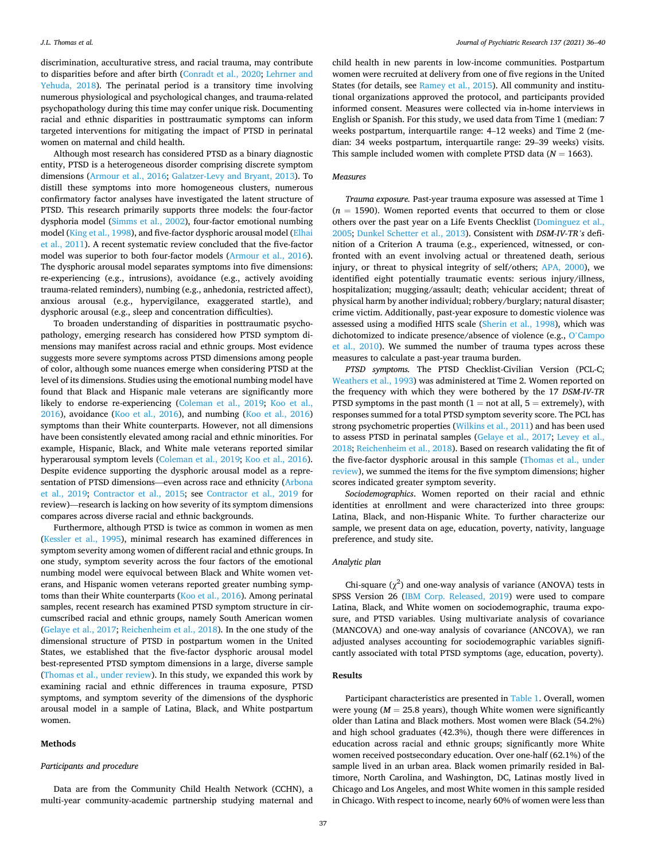discrimination, acculturative stress, and racial trauma, may contribute to disparities before and after birth ([Conradt et al., 2020;](#page-4-0) [Lehrner and](#page-4-0)  [Yehuda, 2018\)](#page-4-0). The perinatal period is a transitory time involving numerous physiological and psychological changes, and trauma-related psychopathology during this time may confer unique risk. Documenting racial and ethnic disparities in posttraumatic symptoms can inform targeted interventions for mitigating the impact of PTSD in perinatal women on maternal and child health.

Although most research has considered PTSD as a binary diagnostic entity, PTSD is a heterogeneous disorder comprising discrete symptom dimensions ([Armour et al., 2016;](#page-4-0) [Galatzer-Levy and Bryant, 2013\)](#page-4-0). To distill these symptoms into more homogeneous clusters, numerous confirmatory factor analyses have investigated the latent structure of PTSD. This research primarily supports three models: the four-factor dysphoria model [\(Simms et al., 2002](#page-4-0)), four-factor emotional numbing model [\(King et al., 1998\)](#page-4-0), and five-factor dysphoric arousal model ([Elhai](#page-4-0)  [et al., 2011](#page-4-0)). A recent systematic review concluded that the five-factor model was superior to both four-factor models ([Armour et al., 2016](#page-4-0)). The dysphoric arousal model separates symptoms into five dimensions: re-experiencing (e.g., intrusions), avoidance (e.g., actively avoiding trauma-related reminders), numbing (e.g., anhedonia, restricted affect), anxious arousal (e.g., hypervigilance, exaggerated startle), and dysphoric arousal (e.g., sleep and concentration difficulties).

To broaden understanding of disparities in posttraumatic psychopathology, emerging research has considered how PTSD symptom dimensions may manifest across racial and ethnic groups. Most evidence suggests more severe symptoms across PTSD dimensions among people of color, although some nuances emerge when considering PTSD at the level of its dimensions. Studies using the emotional numbing model have found that Black and Hispanic male veterans are significantly more likely to endorse re-experiencing [\(Coleman et al., 2019](#page-4-0); [Koo et al.,](#page-4-0)  [2016\)](#page-4-0), avoidance ([Koo et al., 2016\)](#page-4-0), and numbing ([Koo et al., 2016\)](#page-4-0) symptoms than their White counterparts. However, not all dimensions have been consistently elevated among racial and ethnic minorities. For example, Hispanic, Black, and White male veterans reported similar hyperarousal symptom levels ([Coleman et al., 2019](#page-4-0); [Koo et al., 2016](#page-4-0)). Despite evidence supporting the dysphoric arousal model as a representation of PTSD dimensions—even across race and ethnicity ([Arbona](#page-4-0)  [et al., 2019](#page-4-0); [Contractor et al., 2015](#page-4-0); see [Contractor et al., 2019](#page-4-0) for review)—research is lacking on how severity of its symptom dimensions compares across diverse racial and ethnic backgrounds.

Furthermore, although PTSD is twice as common in women as men ([Kessler et al., 1995\)](#page-4-0), minimal research has examined differences in symptom severity among women of different racial and ethnic groups. In one study, symptom severity across the four factors of the emotional numbing model were equivocal between Black and White women veterans, and Hispanic women veterans reported greater numbing symptoms than their White counterparts ([Koo et al., 2016](#page-4-0)). Among perinatal samples, recent research has examined PTSD symptom structure in circumscribed racial and ethnic groups, namely South American women ([Gelaye et al., 2017](#page-4-0); [Reichenheim et al., 2018\)](#page-4-0). In the one study of the dimensional structure of PTSD in postpartum women in the United States, we established that the five-factor dysphoric arousal model best-represented PTSD symptom dimensions in a large, diverse sample ([Thomas et al., under review\)](#page-4-0). In this study, we expanded this work by examining racial and ethnic differences in trauma exposure, PTSD symptoms, and symptom severity of the dimensions of the dysphoric arousal model in a sample of Latina, Black, and White postpartum women.

## **Methods**

## *Participants and procedure*

Data are from the Community Child Health Network (CCHN), a multi-year community-academic partnership studying maternal and child health in new parents in low-income communities. Postpartum women were recruited at delivery from one of five regions in the United States (for details, see [Ramey et al., 2015](#page-4-0)). All community and institutional organizations approved the protocol, and participants provided informed consent. Measures were collected via in-home interviews in English or Spanish. For this study, we used data from Time 1 (median: 7 weeks postpartum, interquartile range: 4–12 weeks) and Time 2 (median: 34 weeks postpartum, interquartile range: 29–39 weeks) visits. This sample included women with complete PTSD data  $(N = 1663)$ .

### *Measures*

*Trauma exposure.* Past-year trauma exposure was assessed at Time 1  $(n = 1590)$ . Women reported events that occurred to them or close others over the past year on a Life Events Checklist [\(Dominguez et al.,](#page-4-0)  [2005; Dunkel Schetter et al., 2013](#page-4-0)). Consistent with *DSM-IV-TR's* definition of a Criterion A trauma (e.g., experienced, witnessed, or confronted with an event involving actual or threatened death, serious injury, or threat to physical integrity of self/others; [APA, 2000\)](#page-4-0), we identified eight potentially traumatic events: serious injury/illness, hospitalization; mugging/assault; death; vehicular accident; threat of physical harm by another individual; robbery/burglary; natural disaster; crime victim. Additionally, past-year exposure to domestic violence was assessed using a modified HITS scale ([Sherin et al., 1998\)](#page-4-0), which was dichotomized to indicate presence/absence of violence (e.g., O'[Campo](#page-4-0)  [et al., 2010](#page-4-0)). We summed the number of trauma types across these measures to calculate a past-year trauma burden.

*PTSD symptoms.* The PTSD Checklist-Civilian Version (PCL-C; [Weathers et al., 1993](#page-4-0)) was administered at Time 2. Women reported on the frequency with which they were bothered by the 17 *DSM-IV-TR*  PTSD symptoms in the past month  $(1 = not at all, 5 = extremely)$ , with responses summed for a total PTSD symptom severity score. The PCL has strong psychometric properties [\(Wilkins et al., 2011\)](#page-4-0) and has been used to assess PTSD in perinatal samples [\(Gelaye et al., 2017;](#page-4-0) [Levey et al.,](#page-4-0)  [2018; Reichenheim et al., 2018\)](#page-4-0). Based on research validating the fit of the five-factor dysphoric arousal in this sample ([Thomas et al., under](#page-4-0)  [review](#page-4-0)), we summed the items for the five symptom dimensions; higher scores indicated greater symptom severity.

*Sociodemographics*. Women reported on their racial and ethnic identities at enrollment and were characterized into three groups: Latina, Black, and non-Hispanic White. To further characterize our sample, we present data on age, education, poverty, nativity, language preference, and study site.

# *Analytic plan*

Chi-square  $(\chi^2)$  and one-way analysis of variance (ANOVA) tests in SPSS Version 26 [\(IBM Corp. Released, 2019](#page-4-0)) were used to compare Latina, Black, and White women on sociodemographic, trauma exposure, and PTSD variables. Using multivariate analysis of covariance (MANCOVA) and one-way analysis of covariance (ANCOVA), we ran adjusted analyses accounting for sociodemographic variables significantly associated with total PTSD symptoms (age, education, poverty).

# **Results**

Participant characteristics are presented in [Table 1](#page-2-0). Overall, women were young  $(M = 25.8$  years), though White women were significantly older than Latina and Black mothers. Most women were Black (54.2%) and high school graduates (42.3%), though there were differences in education across racial and ethnic groups; significantly more White women received postsecondary education. Over one-half (62.1%) of the sample lived in an urban area. Black women primarily resided in Baltimore, North Carolina, and Washington, DC, Latinas mostly lived in Chicago and Los Angeles, and most White women in this sample resided in Chicago. With respect to income, nearly 60% of women were less than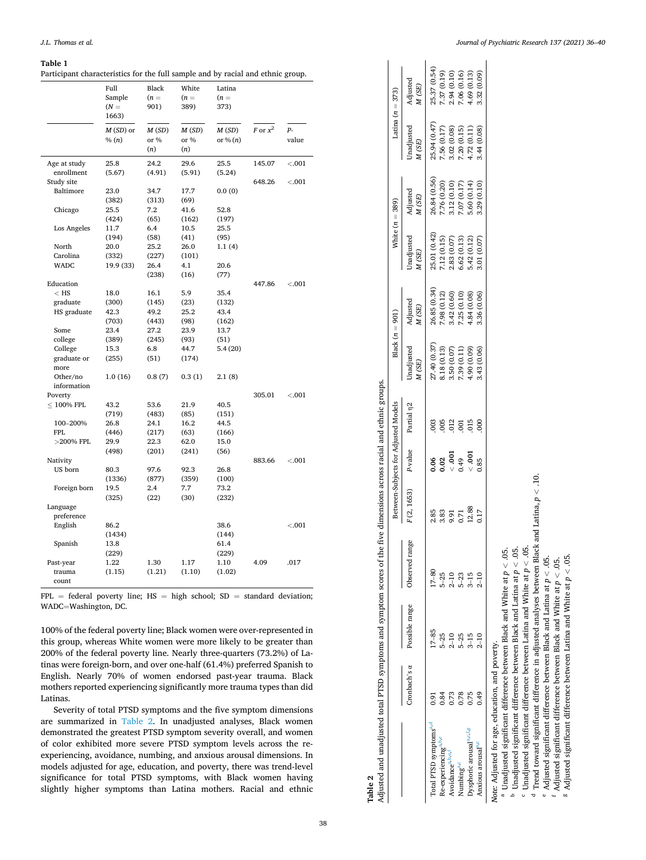#### <span id="page-2-0"></span>**Table 1**

Participant characteristics for the full sample and by racial and ethnic group.

|                         | Full<br>Sample<br>$(N =$<br>1663) | Black<br>$(n =$<br>901) | White<br>$(n =$<br>389) | Latina<br>$(n =$<br>373) |            |               |
|-------------------------|-----------------------------------|-------------------------|-------------------------|--------------------------|------------|---------------|
|                         | $M(SD)$ or<br>% (n)               | M(SD)<br>or %<br>(n)    | M(SD)<br>or %<br>(n)    | M(SD)<br>or % $(n)$      | F or $x^2$ | $P-$<br>value |
| Age at study            | 25.8                              | 24.2                    | 29.6                    | 25.5                     | 145.07     | < 0.001       |
| enrollment              | (5.67)                            | (4.91)                  | (5.91)                  | (5.24)                   |            |               |
| Study site              |                                   |                         |                         |                          | 648.26     | < 0.001       |
| Baltimore               | 23.0                              | 34.7                    | 17.7                    | 0.0(0)                   |            |               |
|                         | (382)                             | (313)                   | (69)                    |                          |            |               |
| Chicago                 | 25.5                              | 7.2                     | 41.6                    | 52.8                     |            |               |
|                         | (424)                             | (65)                    | (162)                   | (197)                    |            |               |
| Los Angeles             | 11.7                              | 6.4                     | 10.5                    | 25.5                     |            |               |
| North                   | (194)<br>20.0                     | (58)<br>25.2            | (41)<br>26.0            | (95)<br>1.1(4)           |            |               |
| Carolina                | (332)                             | (227)                   | (101)                   |                          |            |               |
| <b>WADC</b>             | 19.9 (33)                         | 26.4                    | 4.1                     | 20.6                     |            |               |
|                         |                                   | (238)                   | (16)                    | (77)                     |            |               |
| Education               |                                   |                         |                         |                          | 447.86     | < .001        |
| $<$ HS                  | 18.0                              | 16.1                    | 5.9                     | 35.4                     |            |               |
| graduate                | (300)                             | (145)                   | (23)                    | (132)                    |            |               |
| HS graduate             | 42.3                              | 49.2                    | 25.2                    | 43.4                     |            |               |
|                         | (703)                             | (443)                   | (98)                    | (162)                    |            |               |
| Some                    | 23.4                              | 27.2                    | 23.9                    | 13.7                     |            |               |
| college                 | (389)                             | (245)                   | (93)                    | (51)                     |            |               |
| College                 | 15.3                              | 6.8                     | 44.7                    | 5.4(20)                  |            |               |
| graduate or<br>more     | (255)                             | (51)                    | (174)                   |                          |            |               |
| Other/no<br>information | 1.0(16)                           | 0.8(7)                  | 0.3(1)                  | 2.1(8)                   |            |               |
| Poverty                 |                                   |                         |                         |                          | 305.01     | < .001        |
| $\leq 100\%$ FPL        | 43.2                              | 53.6                    | 21.9                    | 40.5                     |            |               |
|                         | (719)                             | (483)                   | (85)                    | (151)                    |            |               |
| 100-200%                | 26.8                              | 24.1                    | 16.2                    | 44.5                     |            |               |
| <b>FPL</b>              | (446)                             | (217)                   | (63)                    | (166)                    |            |               |
| $>200\%$ FPL            | 29.9                              | 22.3                    | 62.0                    | 15.0                     |            |               |
|                         | (498)                             | (201)                   | (241)                   | (56)                     |            |               |
| Nativity                |                                   |                         |                         |                          | 883.66     | < .001        |
| US born                 | 80.3                              | 97.6                    | 92.3                    | 26.8                     |            |               |
|                         | (1336)                            | (877)                   | (359)                   | (100)                    |            |               |
| Foreign born            | 19.5                              | 2.4                     | 7.7                     | 73.2                     |            |               |
|                         | (325)                             | (22)                    | (30)                    | (232)                    |            |               |
| Language                |                                   |                         |                         |                          |            |               |
| preference              |                                   |                         |                         |                          |            |               |
| English                 | 86.2                              |                         |                         | 38.6                     |            | $-.001$       |
|                         | (1434)                            |                         |                         | (144)                    |            |               |
| Spanish                 | 13.8                              |                         |                         | 61.4                     |            |               |
|                         | (229)                             |                         |                         | (229)                    |            |               |
| Past-year               | 1.22                              | 1.30                    | 1.17                    | 1.10                     | 4.09       | .017          |
| trauma<br>count         | (1.15)                            | (1.21)                  | (1.10)                  | (1.02)                   |            |               |

 $FPL = federal$  poverty line;  $HS = high$  school;  $SD = standard$  deviation; WADC=Washington, DC.

100% of the federal poverty line; Black women were over-represented in this group, whereas White women were more likely to be greater than 200% of the federal poverty line. Nearly three-quarters (73.2%) of Latinas were foreign-born, and over one-half (61.4%) preferred Spanish to English. Nearly 70% of women endorsed past-year trauma. Black mothers reported experiencing significantly more trauma types than did Latinas.

Severity of total PTSD symptoms and the five symptom dimensions are summarized in Table 2. In unadjusted analyses, Black women demonstrated the greatest PTSD symptom severity overall, and women of color exhibited more severe PTSD symptom levels across the reexperiencing, avoidance, numbing, and anxious arousal dimensions. In models adjusted for age, education, and poverty, there was trend-level significance for total PTSD symptoms, with Black women having slightly higher symptoms than Latina mothers. Racial and ethnic

| Adjusted and unadjusted total PTSD symptoms and symptom scores of the |      |                                            |                  | five dimensions across racial and ethnic groups. |                                     |                        |                      |                   |                            |                            |                                            |                   |
|-----------------------------------------------------------------------|------|--------------------------------------------|------------------|--------------------------------------------------|-------------------------------------|------------------------|----------------------|-------------------|----------------------------|----------------------------|--------------------------------------------|-------------------|
|                                                                       |      |                                            |                  |                                                  | etween-Subjects for Adjusted Models |                        | Black $(n = 901)$    |                   | White $(n = 389)$          |                            | Latina $(n = 373)$                         |                   |
|                                                                       |      | Cronbach's a Possible range Observed range |                  | (2, 1653)                                        | P-value                             | Partial n <sub>2</sub> | Jnadjusted<br>V (SE) | kdjusted<br>M(SE) | Jnadjusted<br>A (SE)       | Adjusted<br>M(SE)          | Jnadjusted<br>VI (SE)                      | Adjusted<br>M(SE) |
| Total PTSD symptoms <sup>a,d</sup>                                    |      | $17 - 85$                                  | $17 - 80$        | 2.85                                             | 80.                                 |                        | 7.40(0.37)           | 26.85 (0.34)      | 25.01 (0.42)               | 26.84 (0.56)               |                                            | 25.37 (0.54)      |
| le-experiencingable                                                   | 0.84 | $5 - 25$                                   | $5-25$           | .83                                              | $^{02}$                             | 005                    | .18(0.13)            | .98(0.12)         | .12(0.15)                  | 7.76 (0.20)                |                                            | 7.37 (0.19)       |
| Avoidancea, b,e,f                                                     | ,73  | $2 - 10$                                   | $2 - 10$         | 16.6                                             | $\frac{1}{2}$                       | 012                    | .50 (0.07)           | .42(0.60)         | .83 (0.07)                 | 0.12(0.10)                 | 25.94 (0.47)<br>7.56 (0.17)<br>3.02 (0.08) | 2.94 (0.10)       |
| Jumbing <sup>a,c</sup>                                                | 0.78 | $5 - 25$                                   |                  | 171                                              | 0.49                                | 3                      | .39(0.11)            | .25(0.10)         | .62(0.13)                  | .07(0.17)                  | .20(0.15)                                  | .06(0.16)         |
| Dysphoric arousal <sup>a,c,t,g</sup>                                  | 0.75 | $3 - 15$                                   | $5 - 23$<br>3-15 | 12.88                                            | 000.                                | 015                    | $(60.0)$ 0 $6$ .     | .84(0.08)         | 5.42 (0.12)<br>3.01 (0.07) |                            | 4.72 (0.11)<br>3.44 (0.08)                 | 1.69 (0.13)       |
| Anxious arousal <sup>a,c</sup>                                        | 0.49 | $2 - 10$                                   | $2 - 10$         | <b>ZE</b>                                        | 0.85                                | $\frac{8}{2}$          | .43 (0.06)           | 1.36 (0.06)       |                            | 5.60 (0.14)<br>3.29 (0.10) |                                            | 1.32 (0.09)       |

Wore: Adjusted for age, education, and poverty.<br>
<sup>a</sup> Unadjusted significant difference between Black and White at  $p < .05$ .<br>
<sup>a</sup> Unadjusted significant difference between Black and Latina at  $p < .05$ .<br>
<sup>b</sup> Unadjusted signif

**Table 2**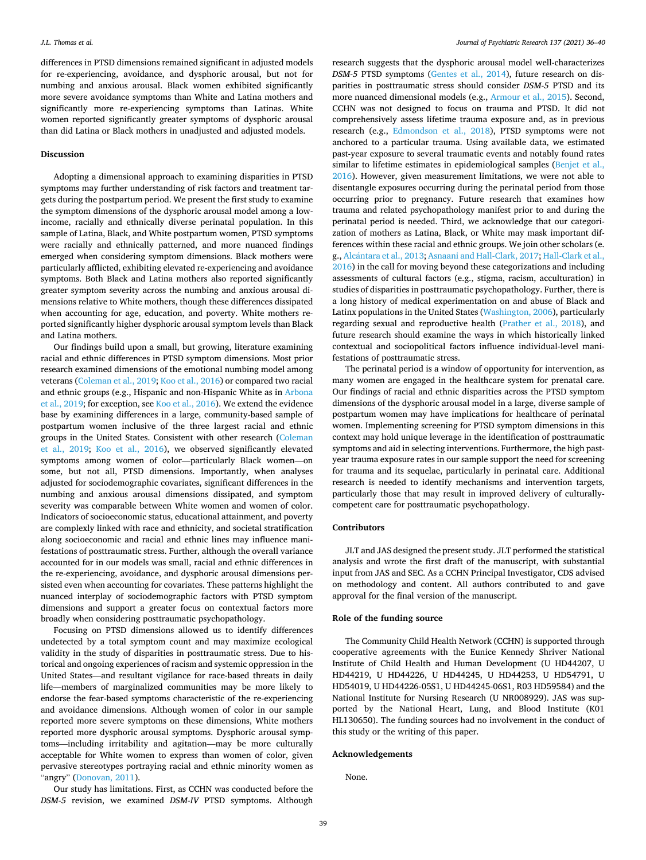differences in PTSD dimensions remained significant in adjusted models for re-experiencing, avoidance, and dysphoric arousal, but not for numbing and anxious arousal. Black women exhibited significantly more severe avoidance symptoms than White and Latina mothers and significantly more re-experiencing symptoms than Latinas. White women reported significantly greater symptoms of dysphoric arousal than did Latina or Black mothers in unadjusted and adjusted models.

# **Discussion**

Adopting a dimensional approach to examining disparities in PTSD symptoms may further understanding of risk factors and treatment targets during the postpartum period. We present the first study to examine the symptom dimensions of the dysphoric arousal model among a lowincome, racially and ethnically diverse perinatal population. In this sample of Latina, Black, and White postpartum women, PTSD symptoms were racially and ethnically patterned, and more nuanced findings emerged when considering symptom dimensions. Black mothers were particularly afflicted, exhibiting elevated re-experiencing and avoidance symptoms. Both Black and Latina mothers also reported significantly greater symptom severity across the numbing and anxious arousal dimensions relative to White mothers, though these differences dissipated when accounting for age, education, and poverty. White mothers reported significantly higher dysphoric arousal symptom levels than Black and Latina mothers.

Our findings build upon a small, but growing, literature examining racial and ethnic differences in PTSD symptom dimensions. Most prior research examined dimensions of the emotional numbing model among veterans [\(Coleman et al., 2019](#page-4-0); [Koo et al., 2016\)](#page-4-0) or compared two racial and ethnic groups (e.g., Hispanic and non-Hispanic White as in [Arbona](#page-4-0)  [et al., 2019;](#page-4-0) for exception, see [Koo et al., 2016\)](#page-4-0). We extend the evidence base by examining differences in a large, community-based sample of postpartum women inclusive of the three largest racial and ethnic groups in the United States. Consistent with other research ([Coleman](#page-4-0)  [et al., 2019;](#page-4-0) [Koo et al., 2016](#page-4-0)), we observed significantly elevated symptoms among women of color—particularly Black women—on some, but not all, PTSD dimensions. Importantly, when analyses adjusted for sociodemographic covariates, significant differences in the numbing and anxious arousal dimensions dissipated, and symptom severity was comparable between White women and women of color. Indicators of socioeconomic status, educational attainment, and poverty are complexly linked with race and ethnicity, and societal stratification along socioeconomic and racial and ethnic lines may influence manifestations of posttraumatic stress. Further, although the overall variance accounted for in our models was small, racial and ethnic differences in the re-experiencing, avoidance, and dysphoric arousal dimensions persisted even when accounting for covariates. These patterns highlight the nuanced interplay of sociodemographic factors with PTSD symptom dimensions and support a greater focus on contextual factors more broadly when considering posttraumatic psychopathology.

Focusing on PTSD dimensions allowed us to identify differences undetected by a total symptom count and may maximize ecological validity in the study of disparities in posttraumatic stress. Due to historical and ongoing experiences of racism and systemic oppression in the United States—and resultant vigilance for race-based threats in daily life—members of marginalized communities may be more likely to endorse the fear-based symptoms characteristic of the re-experiencing and avoidance dimensions. Although women of color in our sample reported more severe symptoms on these dimensions, White mothers reported more dysphoric arousal symptoms. Dysphoric arousal symptoms—including irritability and agitation—may be more culturally acceptable for White women to express than women of color, given pervasive stereotypes portraying racial and ethnic minority women as "angry" [\(Donovan, 2011](#page-4-0)).

Our study has limitations. First, as CCHN was conducted before the *DSM-5* revision, we examined *DSM-IV* PTSD symptoms. Although

research suggests that the dysphoric arousal model well-characterizes *DSM-5* PTSD symptoms ([Gentes et al., 2014\)](#page-4-0), future research on disparities in posttraumatic stress should consider *DSM-5* PTSD and its more nuanced dimensional models (e.g., [Armour et al., 2015\)](#page-4-0). Second, CCHN was not designed to focus on trauma and PTSD. It did not comprehensively assess lifetime trauma exposure and, as in previous research (e.g., [Edmondson et al., 2018\)](#page-4-0), PTSD symptoms were not anchored to a particular trauma. Using available data, we estimated past-year exposure to several traumatic events and notably found rates similar to lifetime estimates in epidemiological samples [\(Benjet et al.,](#page-4-0)  [2016\)](#page-4-0). However, given measurement limitations, we were not able to disentangle exposures occurring during the perinatal period from those occurring prior to pregnancy. Future research that examines how trauma and related psychopathology manifest prior to and during the perinatal period is needed. Third, we acknowledge that our categorization of mothers as Latina, Black, or White may mask important differences within these racial and ethnic groups. We join other scholars (e. g., Alcántara [et al., 2013](#page-4-0); [Asnaani and Hall-Clark, 2017](#page-4-0); Hall-Clark et al., [2016\)](#page-4-0) in the call for moving beyond these categorizations and including assessments of cultural factors (e.g., stigma, racism, acculturation) in studies of disparities in posttraumatic psychopathology. Further, there is a long history of medical experimentation on and abuse of Black and Latinx populations in the United States ([Washington, 2006\)](#page-4-0), particularly regarding sexual and reproductive health ([Prather et al., 2018\)](#page-4-0), and future research should examine the ways in which historically linked contextual and sociopolitical factors influence individual-level manifestations of posttraumatic stress.

The perinatal period is a window of opportunity for intervention, as many women are engaged in the healthcare system for prenatal care. Our findings of racial and ethnic disparities across the PTSD symptom dimensions of the dysphoric arousal model in a large, diverse sample of postpartum women may have implications for healthcare of perinatal women. Implementing screening for PTSD symptom dimensions in this context may hold unique leverage in the identification of posttraumatic symptoms and aid in selecting interventions. Furthermore, the high pastyear trauma exposure rates in our sample support the need for screening for trauma and its sequelae, particularly in perinatal care. Additional research is needed to identify mechanisms and intervention targets, particularly those that may result in improved delivery of culturallycompetent care for posttraumatic psychopathology.

# **Contributors**

JLT and JAS designed the present study. JLT performed the statistical analysis and wrote the first draft of the manuscript, with substantial input from JAS and SEC. As a CCHN Principal Investigator, CDS advised on methodology and content. All authors contributed to and gave approval for the final version of the manuscript.

#### **Role of the funding source**

The Community Child Health Network (CCHN) is supported through cooperative agreements with the Eunice Kennedy Shriver National Institute of Child Health and Human Development (U HD44207, U HD44219, U HD44226, U HD44245, U HD44253, U HD54791, U HD54019, U HD44226-05S1, U HD44245-06S1, R03 HD59584) and the National Institute for Nursing Research (U NR008929). JAS was supported by the National Heart, Lung, and Blood Institute (K01 HL130650). The funding sources had no involvement in the conduct of this study or the writing of this paper.

## **Acknowledgements**

None.